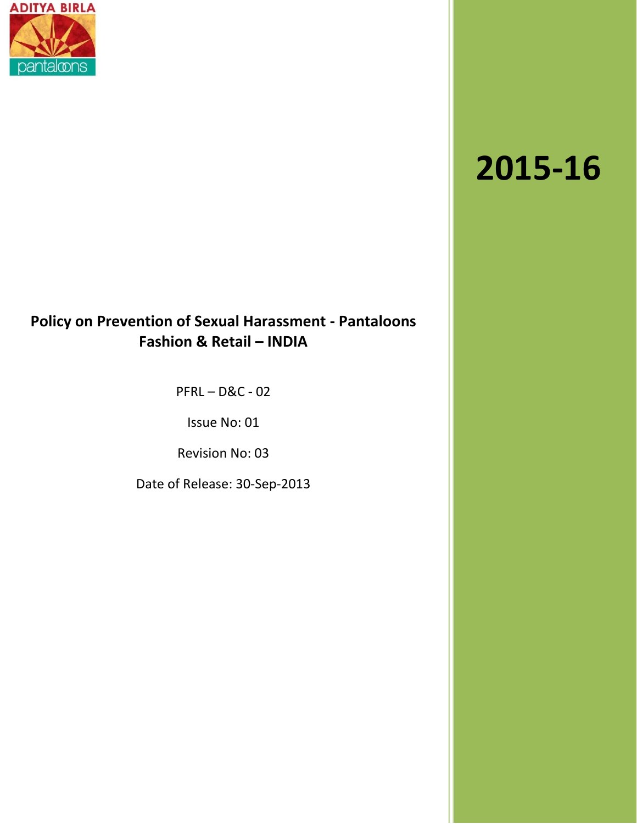

# **2015-16**

## **Policy on Prevention of Sexual Harassment - Pantaloons Fashion & Retail – INDIA**

PFRL – D&C - 02

Issue No: 01

Revision No: 03

Date of Release: 30-Sep-2013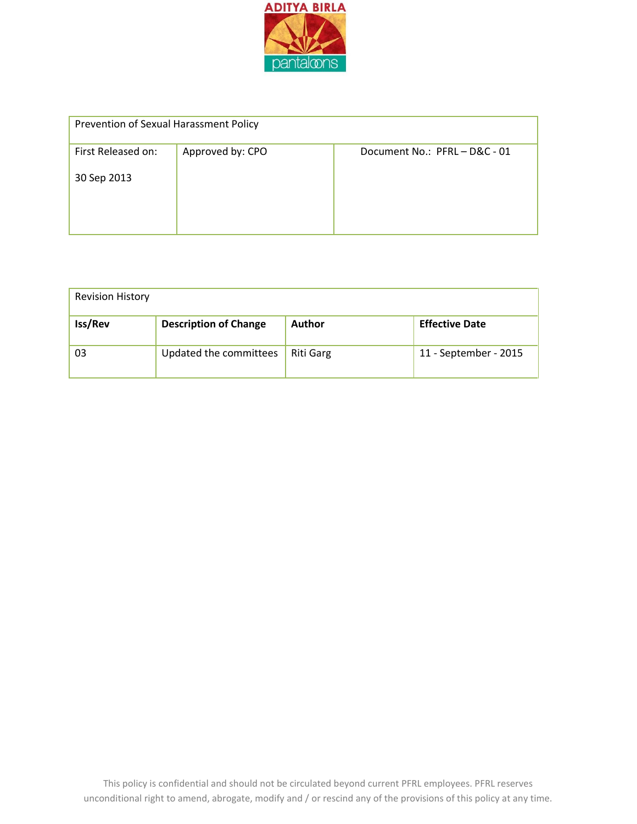

| Prevention of Sexual Harassment Policy |                  |                           |  |
|----------------------------------------|------------------|---------------------------|--|
| First Released on:                     | Approved by: CPO | Document No.: PFRL-D&C-01 |  |
| 30 Sep 2013                            |                  |                           |  |

| <b>Revision History</b> |                              |                  |                       |
|-------------------------|------------------------------|------------------|-----------------------|
| Iss/Rev                 | <b>Description of Change</b> | <b>Author</b>    | <b>Effective Date</b> |
| 03                      | Updated the committees       | <b>Riti Garg</b> | 11 - September - 2015 |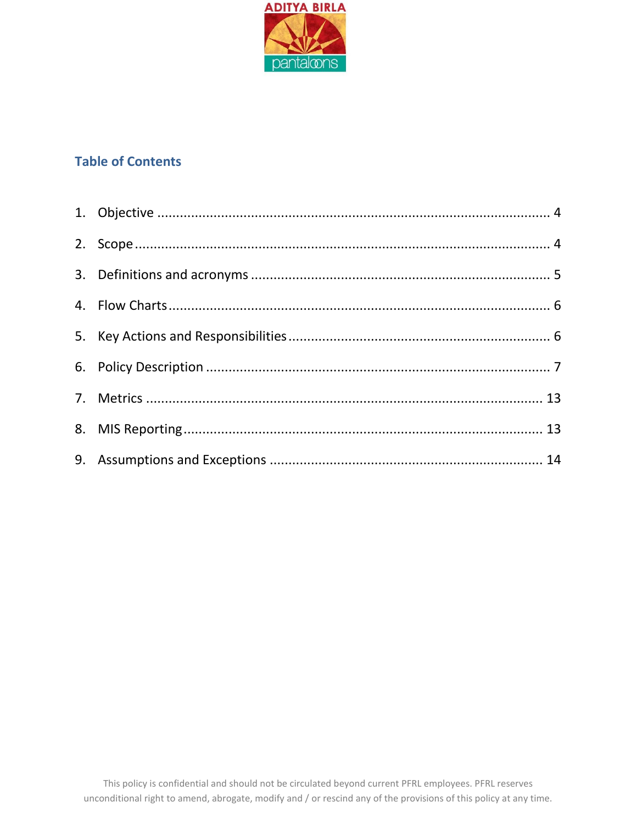

### **Table of Contents**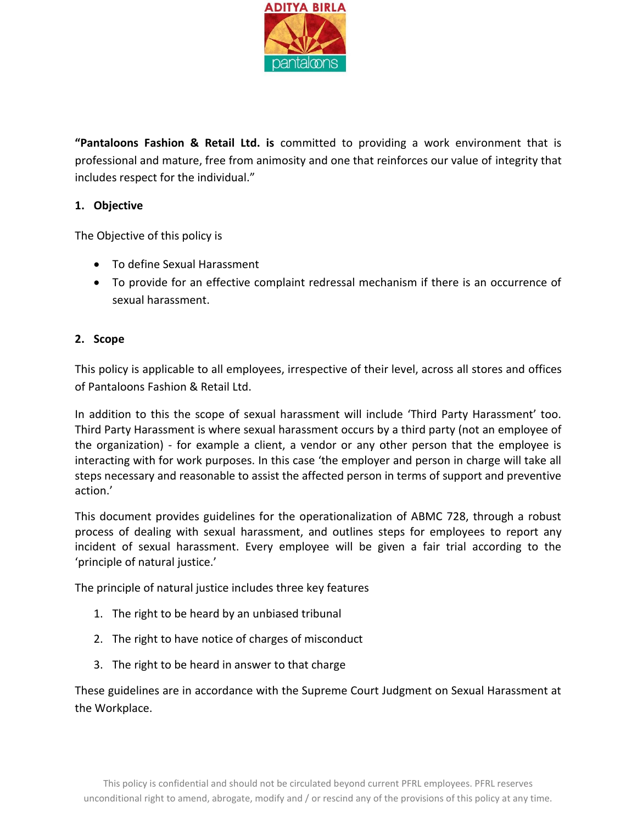

**"Pantaloons Fashion & Retail Ltd. is** committed to providing a work environment that is professional and mature, free from animosity and one that reinforces our value of integrity that includes respect for the individual."

#### <span id="page-3-0"></span>**1. Objective**

The Objective of this policy is

- To define Sexual Harassment
- To provide for an effective complaint redressal mechanism if there is an occurrence of sexual harassment.

#### <span id="page-3-1"></span>**2. Scope**

This policy is applicable to all employees, irrespective of their level, across all stores and offices of Pantaloons Fashion & Retail Ltd.

In addition to this the scope of sexual harassment will include 'Third Party Harassment' too. Third Party Harassment is where sexual harassment occurs by a third party (not an employee of the organization) - for example a client, a vendor or any other person that the employee is interacting with for work purposes. In this case 'the employer and person in charge will take all steps necessary and reasonable to assist the affected person in terms of support and preventive action.'

This document provides guidelines for the operationalization of ABMC 728, through a robust process of dealing with sexual harassment, and outlines steps for employees to report any incident of sexual harassment. Every employee will be given a fair trial according to the 'principle of natural justice.'

The principle of natural justice includes three key features

- 1. The right to be heard by an unbiased tribunal
- 2. The right to have notice of charges of misconduct
- 3. The right to be heard in answer to that charge

These guidelines are in accordance with the Supreme Court Judgment on Sexual Harassment at the Workplace.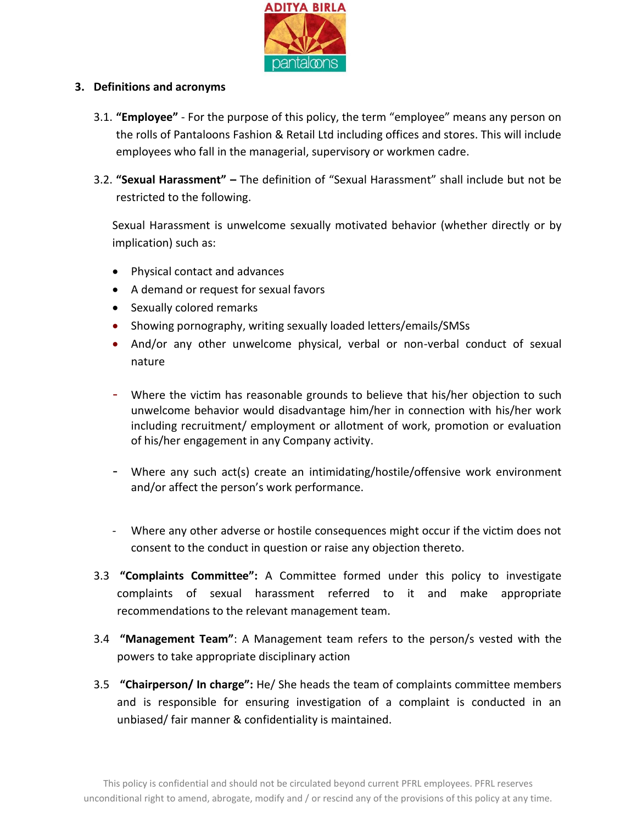

#### <span id="page-4-0"></span>**3. Definitions and acronyms**

- 3.1. **"Employee"** For the purpose of this policy, the term "employee" means any person on the rolls of Pantaloons Fashion & Retail Ltd including offices and stores. This will include employees who fall in the managerial, supervisory or workmen cadre.
- 3.2. **"Sexual Harassment" –** The definition of "Sexual Harassment" shall include but not be restricted to the following.

Sexual Harassment is unwelcome sexually motivated behavior (whether directly or by implication) such as:

- Physical contact and advances
- A demand or request for sexual favors
- Sexually colored remarks
- Showing pornography, writing sexually loaded letters/emails/SMSs
- And/or any other unwelcome physical, verbal or non-verbal conduct of sexual nature
- Where the victim has reasonable grounds to believe that his/her objection to such unwelcome behavior would disadvantage him/her in connection with his/her work including recruitment/ employment or allotment of work, promotion or evaluation of his/her engagement in any Company activity.
- Where any such act(s) create an intimidating/hostile/offensive work environment and/or affect the person's work performance.
- Where any other adverse or hostile consequences might occur if the victim does not consent to the conduct in question or raise any objection thereto.
- 3.3 **"Complaints Committee":** A Committee formed under this policy to investigate complaints of sexual harassment referred to it and make appropriate recommendations to the relevant management team.
- 3.4 **"Management Team"**: A Management team refers to the person/s vested with the powers to take appropriate disciplinary action
- 3.5 **"Chairperson/ In charge":** He/ She heads the team of complaints committee members and is responsible for ensuring investigation of a complaint is conducted in an unbiased/ fair manner & confidentiality is maintained.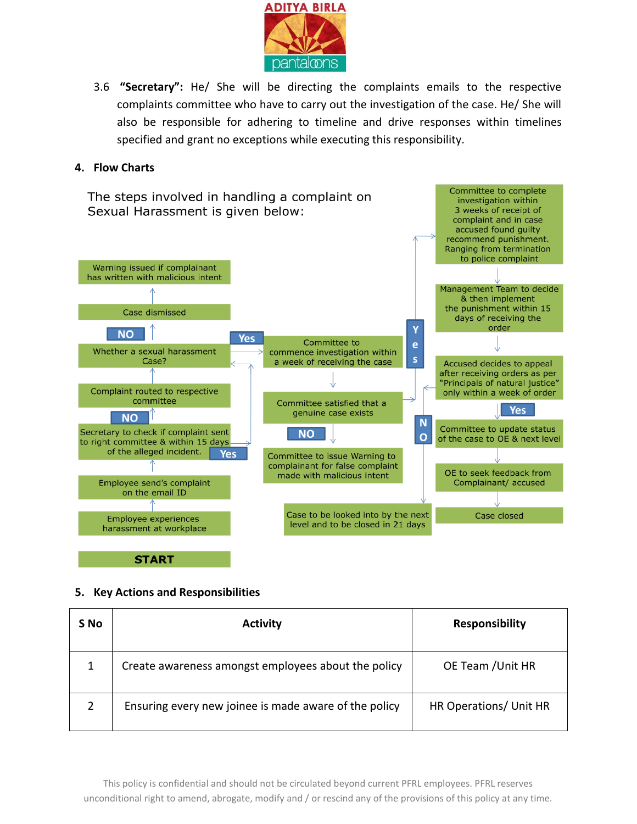

3.6 **"Secretary":** He/ She will be directing the complaints emails to the respective complaints committee who have to carry out the investigation of the case. He/ She will also be responsible for adhering to timeline and drive responses within timelines specified and grant no exceptions while executing this responsibility.

Committee to complete

investigation within

3 weeks of receipt of

#### <span id="page-5-0"></span>**4. Flow Charts**

The steps involved in handling a complaint on Sexual Harassment is given below:



**START** 

#### <span id="page-5-1"></span>**5. Key Actions and Responsibilities**

| S No | <b>Activity</b>                                       | <b>Responsibility</b>  |
|------|-------------------------------------------------------|------------------------|
|      | Create awareness amongst employees about the policy   | OE Team / Unit HR      |
|      | Ensuring every new joinee is made aware of the policy | HR Operations/ Unit HR |

This policy is confidential and should not be circulated beyond current PFRL employees. PFRL reserves unconditional right to amend, abrogate, modify and / or rescind any of the provisions of this policy at any time.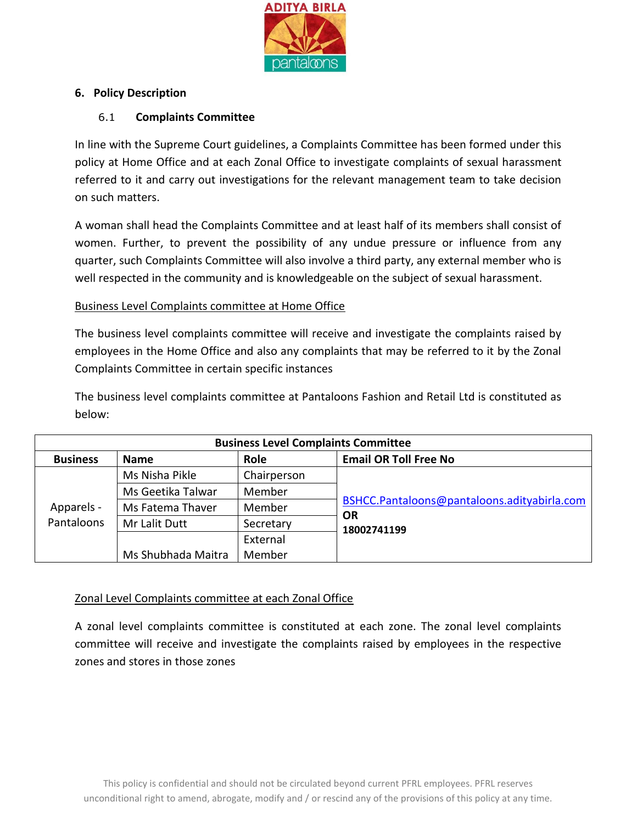

#### <span id="page-6-0"></span>**6. Policy Description**

#### 6.1 **Complaints Committee**

In line with the Supreme Court guidelines, a Complaints Committee has been formed under this policy at Home Office and at each Zonal Office to investigate complaints of sexual harassment referred to it and carry out investigations for the relevant management team to take decision on such matters.

A woman shall head the Complaints Committee and at least half of its members shall consist of women. Further, to prevent the possibility of any undue pressure or influence from any quarter, such Complaints Committee will also involve a third party, any external member who is well respected in the community and is knowledgeable on the subject of sexual harassment.

#### Business Level Complaints committee at Home Office

The business level complaints committee will receive and investigate the complaints raised by employees in the Home Office and also any complaints that may be referred to it by the Zonal Complaints Committee in certain specific instances

The business level complaints committee at Pantaloons Fashion and Retail Ltd is constituted as below:

| <b>Business Level Complaints Committee</b> |                    |             |                                             |
|--------------------------------------------|--------------------|-------------|---------------------------------------------|
| <b>Business</b>                            | <b>Name</b>        | Role        | <b>Email OR Toll Free No</b>                |
| Apparels -<br>Pantaloons                   | Ms Nisha Pikle     | Chairperson |                                             |
|                                            | Ms Geetika Talwar  | Member      |                                             |
|                                            | Ms Fatema Thaver   | Member      | BSHCC.Pantaloons@pantaloons.adityabirla.com |
|                                            | Mr Lalit Dutt      | Secretary   | <b>OR</b><br>18002741199                    |
|                                            |                    | External    |                                             |
|                                            | Ms Shubhada Maitra | Member      |                                             |

#### Zonal Level Complaints committee at each Zonal Office

A zonal level complaints committee is constituted at each zone. The zonal level complaints committee will receive and investigate the complaints raised by employees in the respective zones and stores in those zones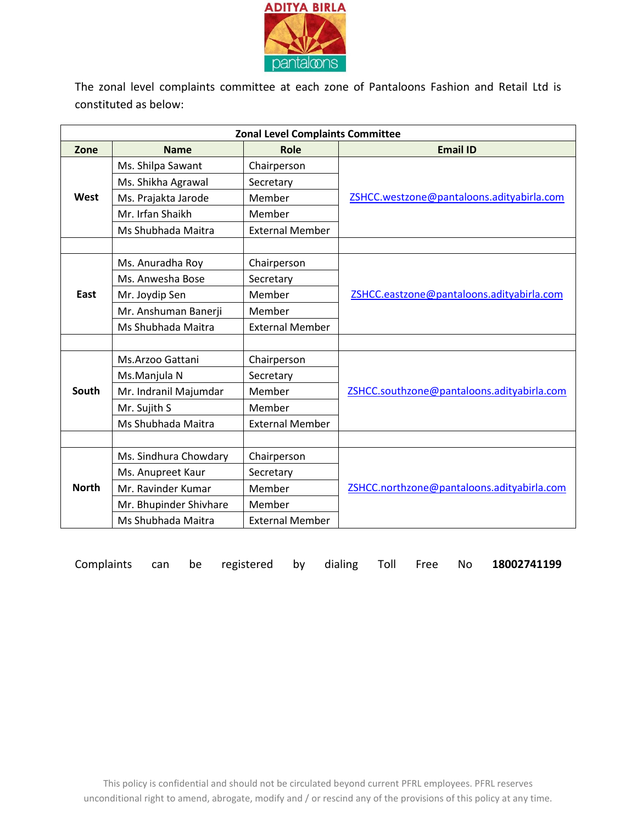

The zonal level complaints committee at each zone of Pantaloons Fashion and Retail Ltd is constituted as below:

| <b>Zonal Level Complaints Committee</b> |                        |                        |                                            |  |
|-----------------------------------------|------------------------|------------------------|--------------------------------------------|--|
| Zone                                    | <b>Name</b>            | Role                   | <b>Email ID</b>                            |  |
|                                         | Ms. Shilpa Sawant      | Chairperson            |                                            |  |
|                                         | Ms. Shikha Agrawal     | Secretary              |                                            |  |
| West                                    | Ms. Prajakta Jarode    | Member                 | ZSHCC.westzone@pantaloons.adityabirla.com  |  |
|                                         | Mr. Irfan Shaikh       | Member                 |                                            |  |
|                                         | Ms Shubhada Maitra     | <b>External Member</b> |                                            |  |
|                                         |                        |                        |                                            |  |
|                                         | Ms. Anuradha Roy       | Chairperson            |                                            |  |
|                                         | Ms. Anwesha Bose       | Secretary              |                                            |  |
| East                                    | Mr. Joydip Sen         | Member                 | ZSHCC.eastzone@pantaloons.adityabirla.com  |  |
|                                         | Mr. Anshuman Banerji   | Member                 |                                            |  |
|                                         | Ms Shubhada Maitra     | <b>External Member</b> |                                            |  |
|                                         |                        |                        |                                            |  |
|                                         | Ms.Arzoo Gattani       | Chairperson            |                                            |  |
|                                         | Ms.Manjula N           | Secretary              |                                            |  |
| South                                   | Mr. Indranil Majumdar  | Member                 | ZSHCC.southzone@pantaloons.adityabirla.com |  |
|                                         | Mr. Sujith S           | Member                 |                                            |  |
|                                         | Ms Shubhada Maitra     | <b>External Member</b> |                                            |  |
|                                         |                        |                        |                                            |  |
|                                         | Ms. Sindhura Chowdary  | Chairperson            |                                            |  |
|                                         | Ms. Anupreet Kaur      | Secretary              |                                            |  |
| <b>North</b>                            | Mr. Ravinder Kumar     | Member                 | ZSHCC.northzone@pantaloons.adityabirla.com |  |
|                                         | Mr. Bhupinder Shivhare | Member                 |                                            |  |
|                                         | Ms Shubhada Maitra     | <b>External Member</b> |                                            |  |

Complaints can be registered by dialing Toll Free No **18002741199**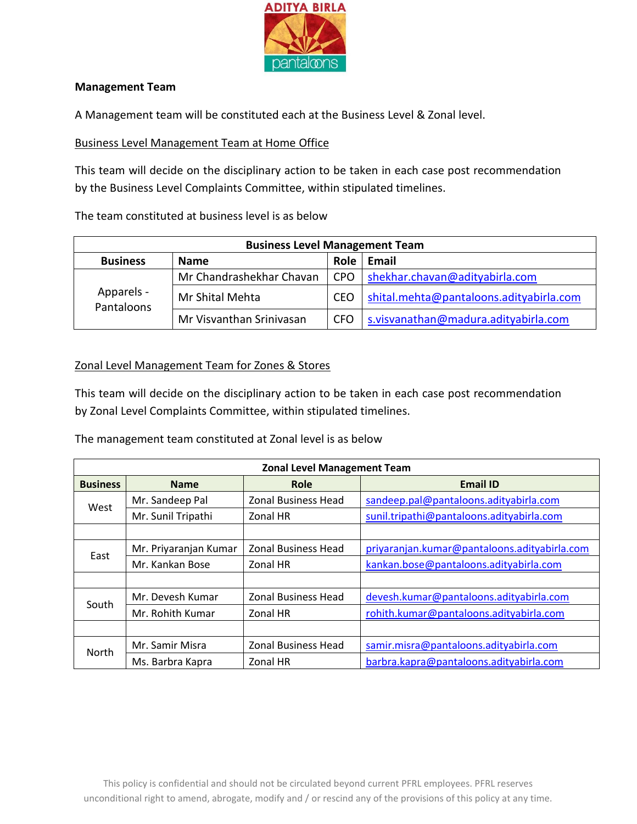

#### **Management Team**

A Management team will be constituted each at the Business Level & Zonal level.

#### Business Level Management Team at Home Office

This team will decide on the disciplinary action to be taken in each case post recommendation by the Business Level Complaints Committee, within stipulated timelines.

The team constituted at business level is as below

| <b>Business Level Management Team</b>                  |                          |            |                                         |
|--------------------------------------------------------|--------------------------|------------|-----------------------------------------|
| <b>Role</b><br>Email<br><b>Business</b><br><b>Name</b> |                          |            |                                         |
| Apparels -<br>Pantaloons                               | Mr Chandrashekhar Chavan | <b>CPO</b> | shekhar.chavan@adityabirla.com          |
|                                                        | Mr Shital Mehta          | <b>CEO</b> | shital.mehta@pantaloons.adityabirla.com |
|                                                        | Mr Visvanthan Srinivasan | <b>CFO</b> | s.visvanathan@madura.adityabirla.com    |

#### Zonal Level Management Team for Zones & Stores

This team will decide on the disciplinary action to be taken in each case post recommendation by Zonal Level Complaints Committee, within stipulated timelines.

The management team constituted at Zonal level is as below

| <b>Zonal Level Management Team</b> |                       |                            |                                              |
|------------------------------------|-----------------------|----------------------------|----------------------------------------------|
| <b>Business</b>                    | <b>Name</b>           | Role                       | <b>Email ID</b>                              |
|                                    | Mr. Sandeep Pal       | <b>Zonal Business Head</b> | sandeep.pal@pantaloons.adityabirla.com       |
| West                               | Mr. Sunil Tripathi    | Zonal HR                   | sunil.tripathi@pantaloons.adityabirla.com    |
|                                    |                       |                            |                                              |
| East                               | Mr. Priyaranjan Kumar | <b>Zonal Business Head</b> | priyaranjan.kumar@pantaloons.adityabirla.com |
|                                    | Mr. Kankan Bose       | Zonal HR                   | kankan.bose@pantaloons.adityabirla.com       |
|                                    |                       |                            |                                              |
| South                              | Mr. Devesh Kumar      | <b>Zonal Business Head</b> | devesh.kumar@pantaloons.adityabirla.com      |
|                                    | Mr. Rohith Kumar      | Zonal HR                   | rohith.kumar@pantaloons.adityabirla.com      |
|                                    |                       |                            |                                              |
| North                              | Mr. Samir Misra       | <b>Zonal Business Head</b> | samir.misra@pantaloons.adityabirla.com       |
|                                    | Ms. Barbra Kapra      | Zonal HR                   | barbra.kapra@pantaloons.adityabirla.com      |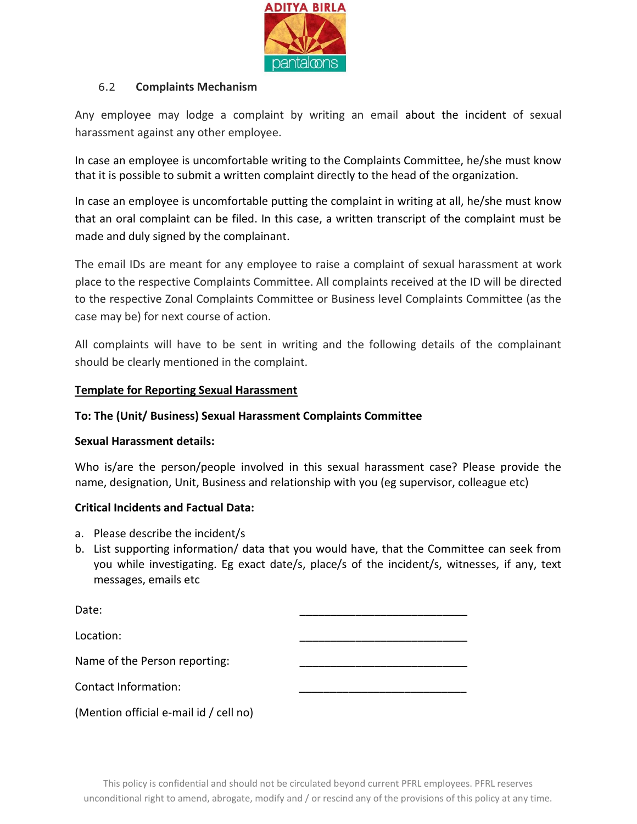

#### 6.2 **Complaints Mechanism**

Any employee may lodge a complaint by writing an email about the incident of sexual harassment against any other employee.

In case an employee is uncomfortable writing to the Complaints Committee, he/she must know that it is possible to submit a written complaint directly to the head of the organization.

In case an employee is uncomfortable putting the complaint in writing at all, he/she must know that an oral complaint can be filed. In this case, a written transcript of the complaint must be made and duly signed by the complainant.

The email IDs are meant for any employee to raise a complaint of sexual harassment at work place to the respective Complaints Committee. All complaints received at the ID will be directed to the respective Zonal Complaints Committee or Business level Complaints Committee (as the case may be) for next course of action.

All complaints will have to be sent in writing and the following details of the complainant should be clearly mentioned in the complaint.

#### **Template for Reporting Sexual Harassment**

#### **To: The (Unit/ Business) Sexual Harassment Complaints Committee**

#### **Sexual Harassment details:**

Who is/are the person/people involved in this sexual harassment case? Please provide the name, designation, Unit, Business and relationship with you (eg supervisor, colleague etc)

#### **Critical Incidents and Factual Data:**

- a. Please describe the incident/s
- b. List supporting information/ data that you would have, that the Committee can seek from you while investigating. Eg exact date/s, place/s of the incident/s, witnesses, if any, text messages, emails etc

| Date:                                  |  |
|----------------------------------------|--|
| Location:                              |  |
| Name of the Person reporting:          |  |
| Contact Information:                   |  |
| (Mention official e-mail id / cell no) |  |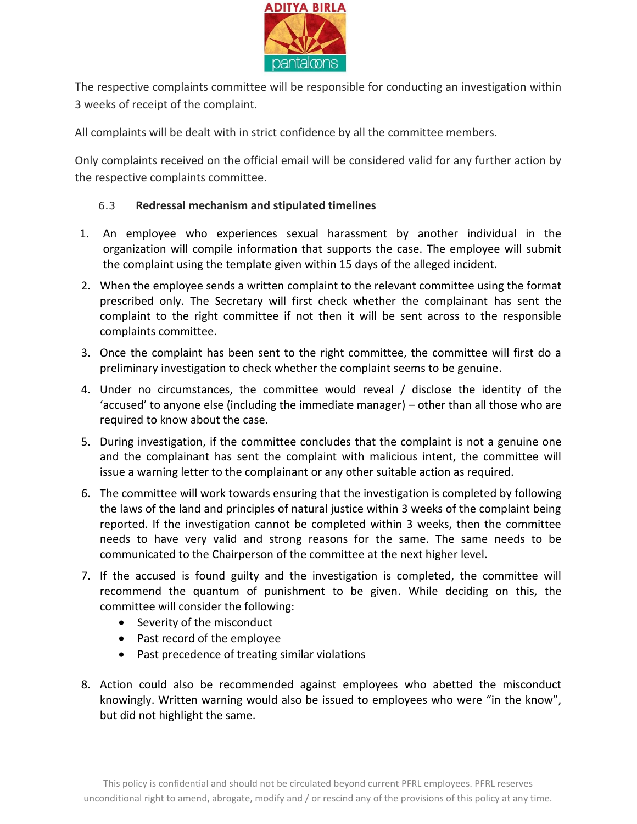

The respective complaints committee will be responsible for conducting an investigation within 3 weeks of receipt of the complaint.

All complaints will be dealt with in strict confidence by all the committee members.

Only complaints received on the official email will be considered valid for any further action by the respective complaints committee.

#### 6.3 **Redressal mechanism and stipulated timelines**

- 1. An employee who experiences sexual harassment by another individual in the organization will compile information that supports the case. The employee will submit the complaint using the template given within 15 days of the alleged incident.
- 2. When the employee sends a written complaint to the relevant committee using the format prescribed only. The Secretary will first check whether the complainant has sent the complaint to the right committee if not then it will be sent across to the responsible complaints committee.
- 3. Once the complaint has been sent to the right committee, the committee will first do a preliminary investigation to check whether the complaint seems to be genuine.
- 4. Under no circumstances, the committee would reveal / disclose the identity of the 'accused' to anyone else (including the immediate manager) – other than all those who are required to know about the case.
- 5. During investigation, if the committee concludes that the complaint is not a genuine one and the complainant has sent the complaint with malicious intent, the committee will issue a warning letter to the complainant or any other suitable action as required.
- 6. The committee will work towards ensuring that the investigation is completed by following the laws of the land and principles of natural justice within 3 weeks of the complaint being reported. If the investigation cannot be completed within 3 weeks, then the committee needs to have very valid and strong reasons for the same. The same needs to be communicated to the Chairperson of the committee at the next higher level.
- 7. If the accused is found guilty and the investigation is completed, the committee will recommend the quantum of punishment to be given. While deciding on this, the committee will consider the following:
	- Severity of the misconduct
	- Past record of the employee
	- Past precedence of treating similar violations
- 8. Action could also be recommended against employees who abetted the misconduct knowingly. Written warning would also be issued to employees who were "in the know", but did not highlight the same.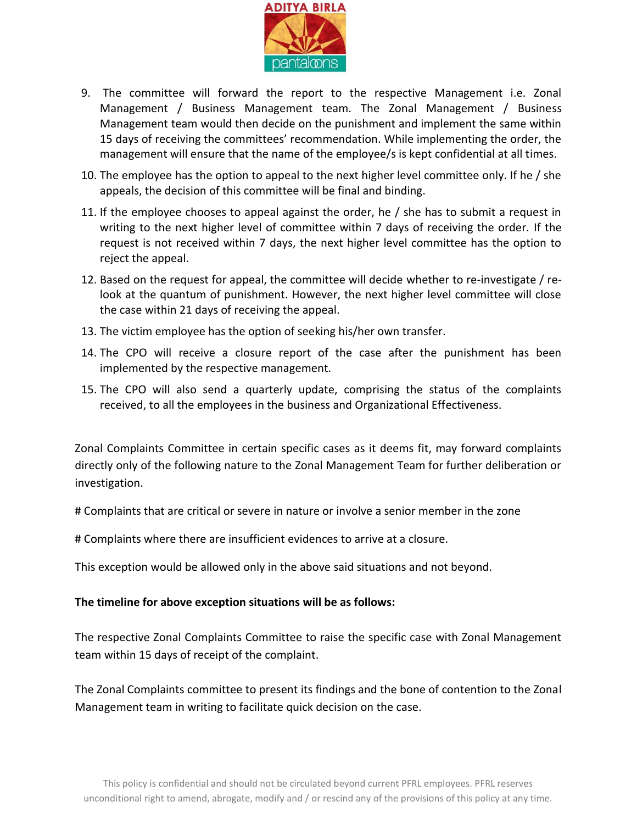

- 9. The committee will forward the report to the respective Management i.e. Zonal Management / Business Management team. The Zonal Management / Business Management team would then decide on the punishment and implement the same within 15 days of receiving the committees' recommendation. While implementing the order, the management will ensure that the name of the employee/s is kept confidential at all times.
- 10. The employee has the option to appeal to the next higher level committee only. If he / she appeals, the decision of this committee will be final and binding.
- 11. If the employee chooses to appeal against the order, he / she has to submit a request in writing to the next higher level of committee within 7 days of receiving the order. If the request is not received within 7 days, the next higher level committee has the option to reject the appeal.
- 12. Based on the request for appeal, the committee will decide whether to re-investigate / relook at the quantum of punishment. However, the next higher level committee will close the case within 21 days of receiving the appeal.
- 13. The victim employee has the option of seeking his/her own transfer.
- 14. The CPO will receive a closure report of the case after the punishment has been implemented by the respective management.
- 15. The CPO will also send a quarterly update, comprising the status of the complaints received, to all the employees in the business and Organizational Effectiveness.

Zonal Complaints Committee in certain specific cases as it deems fit, may forward complaints directly only of the following nature to the Zonal Management Team for further deliberation or investigation.

# Complaints that are critical or severe in nature or involve a senior member in the zone

# Complaints where there are insufficient evidences to arrive at a closure.

This exception would be allowed only in the above said situations and not beyond.

#### **The timeline for above exception situations will be as follows:**

The respective Zonal Complaints Committee to raise the specific case with Zonal Management team within 15 days of receipt of the complaint.

The Zonal Complaints committee to present its findings and the bone of contention to the Zonal Management team in writing to facilitate quick decision on the case.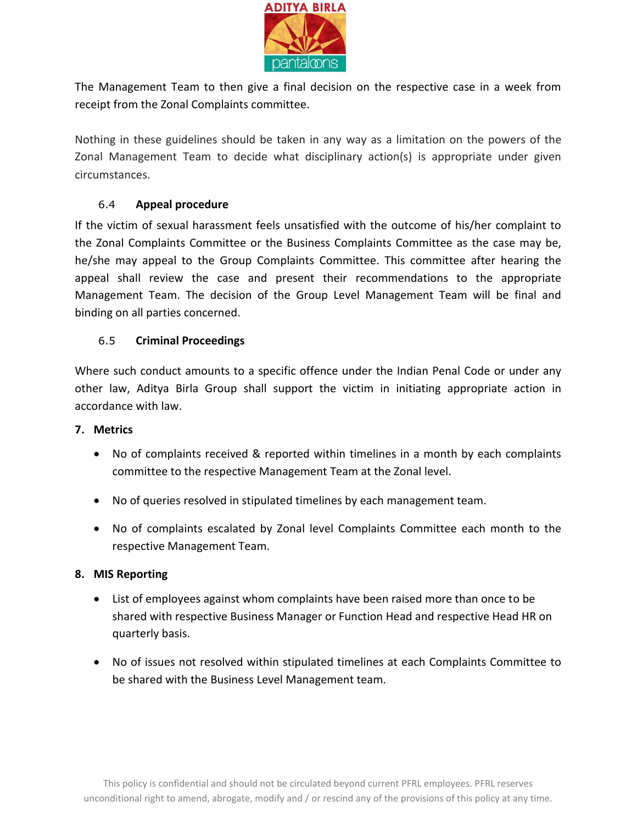

The Management Team to then give a final decision on the respective case in a week from receipt from the Zonal Complaints committee.

Nothing in these guidelines should be taken in any way as a limitation on the powers of the Zonal Management Team to decide what disciplinary action(s) is appropriate under given circumstances.

#### 6.4 **Appeal procedure**

If the victim of sexual harassment feels unsatisfied with the outcome of his/her complaint to the Zonal Complaints Committee or the Business Complaints Committee as the case may be, he/she may appeal to the Group Complaints Committee. This committee after hearing the appeal shall review the case and present their recommendations to the appropriate Management Team. The decision of the Group Level Management Team will be final and binding on all parties concerned.

#### 6.5 **Criminal Proceedings**

Where such conduct amounts to a specific offence under the Indian Penal Code or under any other law, Aditya Birla Group shall support the victim in initiating appropriate action in accordance with law.

#### <span id="page-12-0"></span>**7. Metrics**

- No of complaints received & reported within timelines in a month by each complaints committee to the respective Management Team at the Zonal level.
- No of queries resolved in stipulated timelines by each management team.
- No of complaints escalated by Zonal level Complaints Committee each month to the respective Management Team.

#### <span id="page-12-1"></span>**8. MIS Reporting**

- List of employees against whom complaints have been raised more than once to be shared with respective Business Manager or Function Head and respective Head HR on quarterly basis.
- No of issues not resolved within stipulated timelines at each Complaints Committee to be shared with the Business Level Management team.